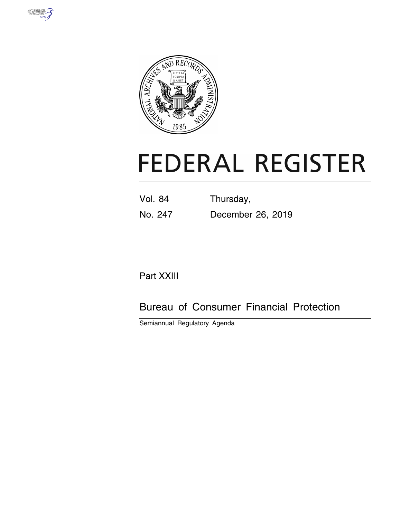



# **FEDERAL REGISTER**

| Vol. 84 |  | Thursday, |  |  |  |
|---------|--|-----------|--|--|--|
|         |  |           |  |  |  |

No. 247 December 26, 2019

# Part XXIII

# Bureau of Consumer Financial Protection

Semiannual Regulatory Agenda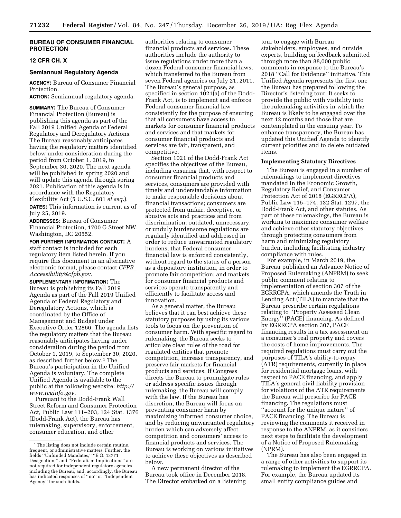# **BUREAU OF CONSUMER FINANCIAL PROTECTION**

# **12 CFR CH. X**

#### **Semiannual Regulatory Agenda**

**AGENCY:** Bureau of Consumer Financial Protection.

**ACTION:** Semiannual regulatory agenda.

**SUMMARY:** The Bureau of Consumer Financial Protection (Bureau) is publishing this agenda as part of the Fall 2019 Unified Agenda of Federal Regulatory and Deregulatory Actions. The Bureau reasonably anticipates having the regulatory matters identified below under consideration during the period from October 1, 2019, to September 30, 2020. The next agenda will be published in spring 2020 and will update this agenda through spring 2021. Publication of this agenda is in accordance with the Regulatory Flexibility Act (5 U.S.C. 601 *et seq.*).

**DATES:** This information is current as of July 25, 2019.

**ADDRESSES:** Bureau of Consumer Financial Protection, 1700 G Street NW, Washington, DC 20552.

**FOR FURTHER INFORMATION CONTACT:** A staff contact is included for each regulatory item listed herein. If you require this document in an alternative electronic format, please contact *[CFPB](mailto:CFPB_Accessibility@cfpb.gov)*\_ *[Accessibility@cfpb.gov.](mailto:CFPB_Accessibility@cfpb.gov)* 

**SUPPLEMENTARY INFORMATION:** The Bureau is publishing its Fall 2019 Agenda as part of the Fall 2019 Unified Agenda of Federal Regulatory and Deregulatory Actions, which is coordinated by the Office of Management and Budget under Executive Order 12866. The agenda lists the regulatory matters that the Bureau reasonably anticipates having under consideration during the period from October 1, 2019, to September 30, 2020, as described further below.1 The Bureau's participation in the Unified Agenda is voluntary. The complete Unified Agenda is available to the public at the following website: *[http://](http://www.reginfo.gov) [www.reginfo.gov.](http://www.reginfo.gov)* 

Pursuant to the Dodd-Frank Wall Street Reform and Consumer Protection Act, Public Law 111–203, 124 Stat. 1376 (Dodd-Frank Act), the Bureau has rulemaking, supervisory, enforcement, consumer education, and other

authorities relating to consumer financial products and services. These authorities include the authority to issue regulations under more than a dozen Federal consumer financial laws, which transferred to the Bureau from seven Federal agencies on July 21, 2011. The Bureau's general purpose, as specified in section 1021(a) of the Dodd-Frank Act, is to implement and enforce Federal consumer financial law consistently for the purpose of ensuring that all consumers have access to markets for consumer financial products and services and that markets for consumer financial products and services are fair, transparent, and competitive.

Section 1021 of the Dodd-Frank Act specifies the objectives of the Bureau, including ensuring that, with respect to consumer financial products and services, consumers are provided with timely and understandable information to make responsible decisions about financial transactions; consumers are protected from unfair, deceptive, or abusive acts and practices and from discrimination; outdated, unnecessary, or unduly burdensome regulations are regularly identified and addressed in order to reduce unwarranted regulatory burdens; that Federal consumer financial law is enforced consistently, without regard to the status of a person as a depository institution, in order to promote fair competition; and markets for consumer financial products and services operate transparently and efficiently to facilitate access and innovation.

As a general matter, the Bureau believes that it can best achieve these statutory purposes by using its various tools to focus on the prevention of consumer harm. With specific regard to rulemaking, the Bureau seeks to articulate clear rules of the road for regulated entities that promote competition, increase transparency, and preserve fair markets for financial products and services. If Congress directs the Bureau to promulgate rules or address specific issues through rulemaking, the Bureau will comply with the law. If the Bureau has discretion, the Bureau will focus on preventing consumer harm by maximizing informed consumer choice, and by reducing unwarranted regulatory burden which can adversely affect competition and consumers' access to financial products and services. The Bureau is working on various initiatives to achieve these objectives as described below.

A new permanent director of the Bureau took office in December 2018. The Director embarked on a listening

tour to engage with Bureau stakeholders, employees, and outside experts, building on feedback submitted through more than 88,000 public comments in response to the Bureau's 2018 ''Call for Evidence'' initiative. This Unified Agenda represents the first one the Bureau has prepared following the Director's listening tour. It seeks to provide the public with visibility into the rulemaking activities in which the Bureau is likely to be engaged over the next 12 months and those that are contemplated in the ensuing year. To enhance transparency, the Bureau has updated this Unified Agenda to identify current priorities and to delete outdated items.

#### **Implementing Statutory Directives**

The Bureau is engaged in a number of rulemakings to implement directives mandated in the Economic Growth, Regulatory Relief, and Consumer Protection Act of 2018 (EGRRCPA), Public Law 115–174, 132 Stat. 1297, the Dodd-Frank Act, and other statutes. As part of these rulemakings, the Bureau is working to maximize consumer welfare and achieve other statutory objectives through protecting consumers from harm and minimizing regulatory burden, including facilitating industry compliance with rules.

For example, in March 2019, the Bureau published an Advance Notice of Proposed Rulemaking (ANPRM) to seek public comment relating to implementation of section 307 of the EGRRCPA, which amends the Truth in Lending Act (TILA) to mandate that the Bureau prescribe certain regulations relating to ''Property Assessed Clean Energy'' (PACE) financing. As defined by EGRRCPA section 307, PACE financing results in a tax assessment on a consumer's real property and covers the costs of home improvements. The required regulations must carry out the purposes of TILA's ability-to-repay (ATR) requirements, currently in place for residential mortgage loans, with respect to PACE financing, and apply TILA's general civil liability provision for violations of the ATR requirements the Bureau will prescribe for PACE financing. The regulations must ''account for the unique nature'' of PACE financing. The Bureau is reviewing the comments it received in response to the ANPRM, as it considers next steps to facilitate the development of a Notice of Proposed Rulemaking (NPRM).

The Bureau has also been engaged in a range of other activities to support its rulemaking to implement the EGRRCPA. For example, the Bureau updated its small entity compliance guides and

<sup>&</sup>lt;sup>1</sup>The listing does not include certain routine, frequent, or administrative matters. Further, the fields ''Unfunded Mandates,'' ''E.O. 13771 Designation,'' and ''Federalism Implications'' are not required for independent regulatory agencies, including the Bureau, and, accordingly, the Bureau has indicated responses of ''no'' or ''Independent Agency'' for such fields.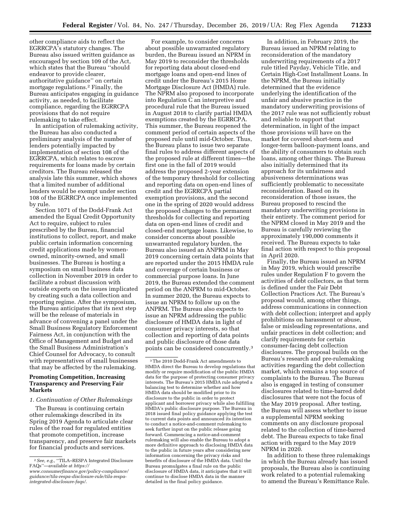other compliance aids to reflect the EGRRCPA's statutory changes. The Bureau also issued written guidance as encouraged by section 109 of the Act, which states that the Bureau ''should endeavor to provide clearer, authoritative guidance'' on certain mortgage regulations.2 Finally, the Bureau anticipates engaging in guidance activity, as needed, to facilitate compliance, regarding the EGRRCPA provisions that do not require rulemaking to take effect.

In anticipation of rulemaking activity, the Bureau has also conducted a preliminary analysis of the number of lenders potentially impacted by implementation of section 108 of the EGRRCPA, which relates to escrow requirements for loans made by certain creditors. The Bureau released the analysis late this summer, which shows that a limited number of additional lenders would be exempt under section 108 of the EGRRCPA once implemented by rule.

Section 1071 of the Dodd-Frank Act amended the Equal Credit Opportunity Act to require, subject to rules prescribed by the Bureau, financial institutions to collect, report, and make public certain information concerning credit applications made by womenowned, minority-owned, and small businesses. The Bureau is hosting a symposium on small business data collection in November 2019 in order to facilitate a robust discussion with outside experts on the issues implicated by creating such a data collection and reporting regime. After the symposium, the Bureau anticipates that its next step will be the release of materials in advance of convening a panel under the Small Business Regulatory Enforcement Fairness Act, in conjunction with the Office of Management and Budget and the Small Business Administration's Chief Counsel for Advocacy, to consult with representatives of small businesses that may be affected by the rulemaking.

### **Promoting Competition, Increasing Transparency and Preserving Fair Markets**

#### *1. Continuation of Other Rulemakings*

The Bureau is continuing certain other rulemakings described in its Spring 2019 Agenda to articulate clear rules of the road for regulated entities that promote competition, increase transparency, and preserve fair markets for financial products and services.

For example, to consider concerns about possible unwarranted regulatory burden, the Bureau issued an NPRM in May 2019 to reconsider the thresholds for reporting data about closed-end mortgage loans and open-end lines of credit under the Bureau's 2015 Home Mortgage Disclosure Act (HMDA) rule. The NPRM also proposed to incorporate into Regulation C an interpretive and procedural rule that the Bureau issued in August 2018 to clarify partial HMDA exemptions created by the EGRRCPA. This summer, the Bureau reopened the comment period of certain aspects of the proposed rule until mid-October. Thus, the Bureau plans to issue two separate final rules to address different aspects of the proposed rule at different times—the first one in the fall of 2019 would address the proposed 2-year extension of the temporary threshold for collecting and reporting data on open-end lines of credit and the EGRRCPA partial exemption provisions, and the second one in the spring of 2020 would address the proposed changes to the permanent thresholds for collecting and reporting data on open-end lines of credit and closed-end mortgage loans. Likewise, to consider concerns about possible unwarranted regulatory burden, the Bureau also issued an ANPRM in May 2019 concerning certain data points that are reported under the 2015 HMDA rule and coverage of certain business or commercial purpose loans. In June 2019, the Bureau extended the comment period on the ANPRM to mid-October. In summer 2020, the Bureau expects to issue an NPRM to follow up on the ANPRM. The Bureau also expects to issue an NPRM addressing the public disclosure of HMDA data in light of consumer privacy interests, so that collection and reporting of data points and public disclosure of those data points can be considered concurrently.3

In addition, in February 2019, the Bureau issued an NPRM relating to reconsideration of the mandatory underwriting requirements of a 2017 rule titled Payday, Vehicle Title, and Certain High-Cost Installment Loans. In the NPRM, the Bureau initially determined that the evidence underlying the identification of the unfair and abusive practice in the mandatory underwriting provisions of the 2017 rule was not sufficiently robust and reliable to support that determination, in light of the impact those provisions will have on the market for covered short-term and longer-term balloon-payment loans, and the ability of consumers to obtain such loans, among other things. The Bureau also initially determined that its approach for its unfairness and abusiveness determinations was sufficiently problematic to necessitate reconsideration. Based on its reconsideration of those issues, the Bureau proposed to rescind the mandatory underwriting provisions in their entirety. The comment period for the NPRM closed in May 2019 and the Bureau is carefully reviewing the approximately 190,000 comments it received. The Bureau expects to take final action with respect to this proposal in April 2020.

Finally, the Bureau issued an NPRM in May 2019, which would prescribe rules under Regulation F to govern the activities of debt collectors, as that term is defined under the Fair Debt Collection Practices Act. The Bureau's proposal would, among other things, address communications in connection with debt collection; interpret and apply prohibitions on harassment or abuse, false or misleading representations, and unfair practices in debt collection; and clarify requirements for certain consumer-facing debt collection disclosures. The proposal builds on the Bureau's research and pre-rulemaking activities regarding the debt collection market, which remains a top source of complaints to the Bureau. The Bureau also is engaged in testing of consumer disclosures related to time-barred debt disclosures that were not the focus of the May 2019 proposal. After testing, the Bureau will assess whether to issue a supplemental NPRM seeking comments on any disclosure proposal related to the collection of time-barred debt. The Bureau expects to take final action with regard to the May 2019 NPRM in 2020.

In addition to these three rulemakings in which the Bureau already has issued proposals, the Bureau also is continuing work related to a potential rulemaking to amend the Bureau's Remittance Rule.

<sup>2</sup>*See, e.g.,* ''TILA–RESPA Integrated Disclosure FAQs''—available at *[https://](https://www.consumerfinance.gov/policy-compliance/guidance/tila-respa-disclosure-rule/tila-respa-integrated-disclosure-faqs/)*

*[www.consumerfinance.gov/policy-compliance/](https://www.consumerfinance.gov/policy-compliance/guidance/tila-respa-disclosure-rule/tila-respa-integrated-disclosure-faqs/) [guidance/tila-respa-disclosure-rule/tila-respa](https://www.consumerfinance.gov/policy-compliance/guidance/tila-respa-disclosure-rule/tila-respa-integrated-disclosure-faqs/)[integrated-disclosure-faqs/](https://www.consumerfinance.gov/policy-compliance/guidance/tila-respa-disclosure-rule/tila-respa-integrated-disclosure-faqs/)*.

<sup>3</sup>The 2010 Dodd-Frank Act amendments to HMDA direct the Bureau to develop regulations that modify or require modification of the public HMDA data for the purpose of protecting consumer privacy interests. The Bureau's 2015 HMDA rule adopted a balancing test to determine whether and how HMDA data should be modified prior to its disclosure to the public in order to protect applicant and borrower privacy while also fulfilling HMDA's public disclosure purpose. The Bureau in 2018 issued final policy guidance applying the test to current data points and announced its intention to conduct a notice-and-comment rulemaking to seek further input on the public release going forward. Commencing a notice-and-comment rulemaking will also enable the Bureau to adopt a more definitive approach to disclosing HMDA data to the public in future years after considering new information concerning the privacy risks and benefits of disclosure of the HMDA data. Until the Bureau promulgates a final rule on the public disclosure of HMDA data, it anticipates that it will continue to disclose HMDA data in the manner detailed in the final policy guidance.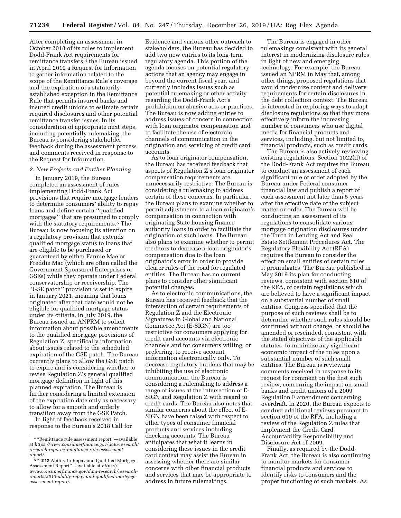After completing an assessment in October 2018 of its rules to implement Dodd-Frank Act requirements for remittance transfers,<sup>4</sup> the Bureau issued in April 2019 a Request for Information to gather information related to the scope of the Remittance Rule's coverage and the expiration of a statutorilyestablished exception in the Remittance Rule that permits insured banks and insured credit unions to estimate certain required disclosures and other potential remittance transfer issues. In its consideration of appropriate next steps, including potentially rulemaking, the Bureau is considering stakeholder feedback during the assessment process and comments received in response to the Request for Information.

#### *2. New Projects and Further Planning*

In January 2019, the Bureau completed an assessment of rules implementing Dodd-Frank Act provisions that require mortgage lenders to determine consumers' ability to repay loans and define certain ''qualified mortgages'' that are presumed to comply with the statutory requirements.<sup>5</sup> The Bureau is now focusing its attention on a regulatory provision that extends qualified mortgage status to loans that are eligible to be purchased or guaranteed by either Fannie Mae or Freddie Mac (which are often called the Government Sponsored Enterprises or GSEs) while they operate under Federal conservatorship or receivership. The ''GSE patch'' provision is set to expire in January 2021, meaning that loans originated after that date would not be eligible for qualified mortgage status under its criteria. In July 2019, the Bureau issued an ANPRM to solicit information about possible amendments to the qualified mortgage provisions of Regulation Z, specifically information about issues related to the scheduled expiration of the GSE patch. The Bureau currently plans to allow the GSE patch to expire and is considering whether to revise Regulation Z's general qualified mortgage definition in light of this planned expiration. The Bureau is further considering a limited extension of the expiration date only as necessary to allow for a smooth and orderly transition away from the GSE Patch.

In light of feedback received in response to the Bureau's 2018 Call for

Evidence and various other outreach to stakeholders, the Bureau has decided to add two new entries to its long-term regulatory agenda. This portion of the agenda focuses on potential regulatory actions that an agency may engage in beyond the current fiscal year, and currently includes issues such as potential rulemaking or other activity regarding the Dodd-Frank Act's prohibition on abusive acts or practices. The Bureau is now adding entries to address issues of concern in connection with loan originator compensation and to facilitate the use of electronic channels of communication in the origination and servicing of credit card accounts.

As to loan originator compensation, the Bureau has received feedback that aspects of Regulation Z's loan originator compensation requirements are unnecessarily restrictive. The Bureau is considering a rulemaking to address certain of these concerns. In particular, the Bureau plans to examine whether to permit adjustments to a loan originator's compensation in connection with originating State housing finance authority loans in order to facilitate the origination of such loans. The Bureau also plans to examine whether to permit creditors to decrease a loan originator's compensation due to the loan originator's error in order to provide clearer rules of the road for regulated entities. The Bureau has no current plans to consider other significant potential changes.

As to electronic communications, the Bureau has received feedback that the intersection of certain requirements of Regulation Z and the Electronic Signatures in Global and National Commerce Act (E-SIGN) are too restrictive for consumers applying for credit card accounts via electronic channels and for consumers willing, or preferring, to receive account information electronically only. To decrease regulatory burdens that may be inhibiting the use of electronic communication, the Bureau is considering a rulemaking to address a range of issues at the intersection of E-SIGN and Regulation Z with regard to credit cards. The Bureau also notes that similar concerns about the effect of E-SIGN have been raised with respect to other types of consumer financial products and services including checking accounts. The Bureau anticipates that what it learns in considering these issues in the credit card context may assist the Bureau in assessing whether there are similar concerns with other financial products and services that may be appropriate to address in future rulemakings.

The Bureau is engaged in other rulemakings consistent with its general interest in modernizing disclosure rules in light of new and emerging technology. For example, the Bureau issued an NPRM in May that, among other things, proposed regulations that would modernize content and delivery requirements for certain disclosures in the debt collection context. The Bureau is interested in exploring ways to adapt disclosure regulations so that they more effectively inform the increasing number of consumers who use digital media for financial products and services, including, but not limited to, financial products, such as credit cards.

The Bureau is also actively reviewing existing regulations. Section 1022(d) of the Dodd-Frank Act requires the Bureau to conduct an assessment of each significant rule or order adopted by the Bureau under Federal consumer financial law and publish a report of each assessment not later than 5 years after the effective date of the subject matter or order. The Bureau will be conducting an assessment of its regulations to consolidate various mortgage origination disclosures under the Truth in Lending Act and Real Estate Settlement Procedures Act. The Regulatory Flexibility Act (RFA) requires the Bureau to consider the effect on small entities of certain rules it promulgates. The Bureau published in May 2019 its plan for conducting reviews, consistent with section 610 of the RFA, of certain regulations which are believed to have a significant impact on a substantial number of small entities. Congress specified that the purpose of such reviews shall be to determine whether such rules should be continued without change, or should be amended or rescinded, consistent with the stated objectives of the applicable statutes, to minimize any significant economic impact of the rules upon a substantial number of such small entities. The Bureau is reviewing comments received in response to its request for comment on the first such review, concerning the impact on small banks and credit unions of a 2009 Regulation E amendment concerning overdraft. In 2020, the Bureau expects to conduct additional reviews pursuant to section 610 of the RFA, including a review of the Regulation Z rules that implement the Credit Card Accountability Responsibility and Disclosure Act of 2009.

Finally, as required by the Dodd-Frank Act, the Bureau is also continuing to monitor markets for consumer financial products and services to identify risks to consumers and the proper functioning of such markets. As

<sup>4</sup> ''Remittance rule assessment report''—available at *[https://www.consumerfinance.gov/data-research/](https://www.consumerfinance.gov/data-research/research-reports/remittance-rule-assessment-report/)  [research-reports/remittance-rule-assessment](https://www.consumerfinance.gov/data-research/research-reports/remittance-rule-assessment-report/)[report/.](https://www.consumerfinance.gov/data-research/research-reports/remittance-rule-assessment-report/)* 

<sup>5</sup> ''2013 Ability-to-Repay and Qualified Mortgage Assessment Report''—available at *[https://](https://www.consumerfinance.gov/data-research/research-reports/2013-ability-repay-and-qualified-mortgage-assessment-report/) [www.consumerfinance.gov/data-research/research](https://www.consumerfinance.gov/data-research/research-reports/2013-ability-repay-and-qualified-mortgage-assessment-report/)reports/2013-ability-repay-and-qualified-mortgage[assessment-report/](https://www.consumerfinance.gov/data-research/research-reports/2013-ability-repay-and-qualified-mortgage-assessment-report/)*.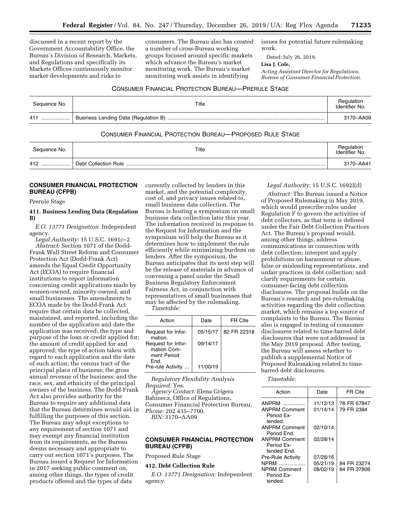discussed in a recent report by the Government Accountability Office, the Bureau's Division of Research, Markets, and Regulations and specifically its Markets Offices continuously monitor market developments and risks to

consumers. The Bureau also has created a number of cross-Bureau working groups focused around specific markets which advance the Bureau's market monitoring work. The Bureau's market monitoring work assists in identifying

issues for potential future rulemaking work.

Dated: July 26, 2019.

**Lisa J. Cole,** 

*Acting Assistant Director for Regulations, Bureau of Consumer Financial Protection.* 

#### CONSUMER FINANCIAL PROTECTION BUREAU—PRERULE STAGE

| Sequence No. | Title | Regulation<br>Identifier No. |
|--------------|-------|------------------------------|
| 411<br>      |       | 3170-AA09                    |

#### CONSUMER FINANCIAL PROTECTION BUREAU—PROPOSED RULE STAGE

| Sequence No. | Title                | Regulation<br>Identifier No. |
|--------------|----------------------|------------------------------|
| 412<br>      | Debt Collection Rule | 3170-AA41                    |

# **CONSUMER FINANCIAL PROTECTION BUREAU (CFPB)**

Prerule Stage

# **411. Business Lending Data (Regulation B)**

*E.O. 13771 Designation:* Independent agency.

*Legal Authority:* 15 U.S.C. 1691c–2 *Abstract:* Section 1071 of the Dodd-Frank Wall Street Reform and Consumer Protection Act (Dodd-Frank Act) amends the Equal Credit Opportunity Act (ECOA) to require financial institutions to report information concerning credit applications made by women-owned, minority-owned, and small businesses. The amendments to ECOA made by the Dodd-Frank Act require that certain data be collected, maintained, and reported, including the number of the application and date the application was received; the type and purpose of the loan or credit applied for; the amount of credit applied for and approved; the type of action taken with regard to each application and the date of such action; the census tract of the principal place of business; the gross annual revenue of the business; and the race, sex, and ethnicity of the principal owners of the business. The Dodd-Frank Act also provides authority for the Bureau to require any additional data that the Bureau determines would aid in fulfilling the purposes of this section. The Bureau may adopt exceptions to any requirement of section 1071 and may exempt any financial institution from its requirements, as the Bureau deems necessary and appropriate to carry out section 1071's purposes. The Bureau issued a Request for Information in 2017 seeking public comment on, among other things, the types of credit products offered and the types of data

currently collected by lenders in this market, and the potential complexity, cost of, and privacy issues related to, small business data collection. The Bureau is hosting a symposium on small business data collection later this year. The information received in response to the Request for Information and the symposium will help the Bureau as it determines how to implement the rule efficiently while minimizing burdens on lenders. After the symposium, the Bureau anticipates that its next step will be the release of materials in advance of convening a panel under the Small Business Regulatory Enforcement Fairness Act, in conjunction with representatives of small businesses that may be affected by the rulemaking. *Timetable:* 

| Action                                                   | Date     | FR Cite     |
|----------------------------------------------------------|----------|-------------|
| Request for Infor-<br>mation.                            | 05/15/17 | 82 FR 22318 |
| Request for Infor-<br>mation Com-<br>ment Period<br>Fnd. | 09/14/17 |             |
| Pre-rule Activity                                        | 11/00/19 |             |

*Regulatory Flexibility Analysis Required:* Yes.

*Agency Contact:* Elena Grigera Babinecz, Office of Regulations, Consumer Financial Protection Bureau, *Phone:* 202 435–7700.

*RIN:* 3170–AA09

## **CONSUMER FINANCIAL PROTECTION BUREAU (CFPB)**

Proposed Rule Stage

#### **412. Debt Collection Rule**

*E.O. 13771 Designation:* Independent agency.

#### *Legal Authority:* 15 U.S.C. 1692l(d)

*Abstract:* The Bureau issued a Notice of Proposed Rulemaking in May 2019, which would prescribe rules under Regulation F to govern the activities of debt collectors, as that term is defined under the Fair Debt Collection Practices Act. The Bureau's proposal would, among other things, address communications in connection with debt collection; interpret and apply prohibitions on harassment or abuse, false or misleading representations, and unfair practices in debt collection; and clarify requirements for certain consumer-facing debt collection disclosures. The proposal builds on the Bureau's research and pre-rulemaking activities regarding the debt collection market, which remains a top source of complaints to the Bureau. The Bureau also is engaged in testing of consumer disclosures related to time-barred debt disclosures that were not addressed in the May 2019 proposal. After testing, the Bureau will assess whether to publish a supplemental Notice of Proposed Rulemaking related to timebarred debt disclosures.

*Timetable:* 

| Action                   | Date     | FR Cite     |
|--------------------------|----------|-------------|
| ANPRM                    | 11/12/13 | 78 FR 67847 |
| <b>ANPRM Comment</b>     | 01/14/14 | 79 FR 2384  |
| Period Ex-<br>tended.    |          |             |
| <b>ANPRM Comment</b>     | 02/10/14 |             |
| Period End.              |          |             |
| <b>ANPRM Comment</b>     | 02/28/14 |             |
| Period Ex-               |          |             |
| tended Fnd.              |          |             |
| <b>Pre-Rule Activity</b> | 07/28/16 |             |
| <b>NPRM</b>              | 05/21/19 | 84 FR 23274 |
| <b>NPRM Comment</b>      | 08/02/19 | 84 FR 37806 |
| Period Fx-               |          |             |
| tended.                  |          |             |